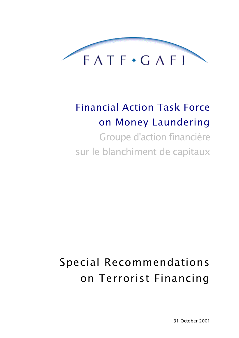

## **Financial Action Task Force** on Money Laundering Groupe d'action financière

sur le blanchiment de capitaux

# Special Recommendations on Terrorist Financing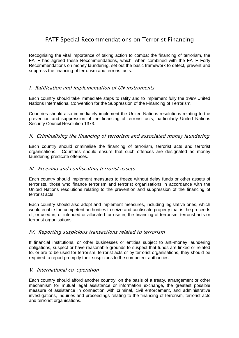### **FATF Special Recommendations on Terrorist Financing**

Recognising the vital importance of taking action to combat the financing of terrorism, the FATF has agreed these Recommendations, which, when combined with the FATF Forty Recommendations on money laundering, set out the basic framework to detect, prevent and suppress the financing of terrorism and terrorist acts.

#### I. Ratification and implementation of UN instruments

Each country should take immediate steps to ratify and to implement fully the 1999 United Nations International Convention for the Suppression of the Financing of Terrorism.

Countries should also immediately implement the United Nations resolutions relating to the prevention and suppression of the financing of terrorist acts, particularly United Nations Security Council Resolution 1373.

#### II. Criminalising the financing of terrorism and associated money laundering

Each country should criminalise the financing of terrorism, terrorist acts and terrorist organisations. Countries should ensure that such offences are designated as money laundering predicate offences.

#### III. Freezing and confiscating terrorist assets

Each country should implement measures to freeze without delay funds or other assets of terrorists, those who finance terrorism and terrorist organisations in accordance with the United Nations resolutions relating to the prevention and suppression of the financing of terrorist acts.

Each country should also adopt and implement measures, including legislative ones, which would enable the competent authorities to seize and confiscate property that is the proceeds of, or used in, or intended or allocated for use in, the financing of terrorism, terrorist acts or terrorist organisations.

#### IV. Reporting suspicious transactions related to terrorism

If financial institutions, or other businesses or entities subject to anti-money laundering obligations, suspect or have reasonable grounds to suspect that funds are linked or related to, or are to be used for terrorism, terrorist acts or by terrorist organisations, they should be required to report promptly their suspicions to the competent authorities.

#### V. International co-operation

Each country should afford another country, on the basis of a treaty, arrangement or other mechanism for mutual legal assistance or information exchange, the greatest possible measure of assistance in connection with criminal, civil enforcement, and administrative investigations, inquiries and proceedings relating to the financing of terrorism, terrorist acts and terrorist organisations.